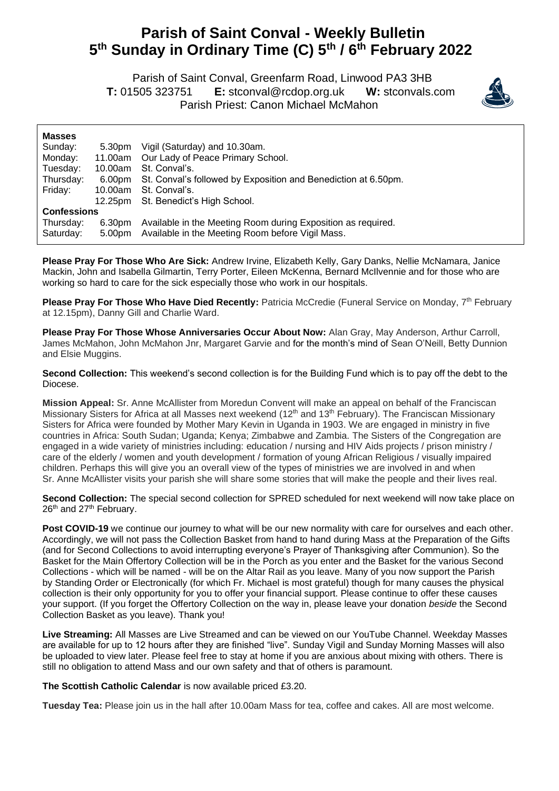## **Parish of Saint Conval - Weekly Bulletin 5 th Sunday in Ordinary Time (C) 5 th / 6 th February 2022**

 Parish of Saint Conval, Greenfarm Road, Linwood PA3 3HB **T:** 01505 323751 **E:** [stconval@rcdop.org.uk](mailto:stconval@rcdop.org.uk) **W:** stconvals.com Parish Priest: Canon Michael McMahon



| <b>Masses</b>      |         |                                                                |
|--------------------|---------|----------------------------------------------------------------|
| Sunday:            | 5.30pm  | Vigil (Saturday) and 10.30am.                                  |
| Monday:            | 11.00am | Our Lady of Peace Primary School.                              |
| Tuesday:           | 10.00am | St. Conval's.                                                  |
| Thursday:          | 6.00pm  | St. Conval's followed by Exposition and Benediction at 6.50pm. |
| Friday:            | 10.00am | St. Conval's.                                                  |
|                    | 12.25pm | St. Benedict's High School.                                    |
| <b>Confessions</b> |         |                                                                |
| Thursday:          | 6.30pm  | Available in the Meeting Room during Exposition as required.   |
| Saturday:          | 5.00pm  | Available in the Meeting Room before Vigil Mass.               |

**Please Pray For Those Who Are Sick:** Andrew Irvine, Elizabeth Kelly, Gary Danks, Nellie McNamara, Janice Mackin, John and Isabella Gilmartin, Terry Porter, Eileen McKenna, Bernard McIlvennie and for those who are working so hard to care for the sick especially those who work in our hospitals.

Please Pray For Those Who Have Died Recently: Patricia McCredie (Funeral Service on Monday, 7<sup>th</sup> February at 12.15pm), Danny Gill and Charlie Ward.

**Please Pray For Those Whose Anniversaries Occur About Now:** Alan Gray, May Anderson, Arthur Carroll, James McMahon, John McMahon Jnr, Margaret Garvie and for the month's mind of Sean O'Neill, Betty Dunnion and Elsie Muggins.

**Second Collection:** This weekend's second collection is for the Building Fund which is to pay off the debt to the Diocese.

**Mission Appeal:** Sr. Anne McAllister from Moredun Convent will make an appeal on behalf of the Franciscan Missionary Sisters for Africa at all Masses next weekend (12<sup>th</sup> and 13<sup>th</sup> February). The Franciscan Missionary Sisters for Africa were founded by Mother Mary Kevin in Uganda in 1903. We are engaged in ministry in five countries in Africa: South Sudan; Uganda; Kenya; Zimbabwe and Zambia. The Sisters of the Congregation are engaged in a wide variety of ministries including: education / nursing and HIV Aids projects / prison ministry / care of the elderly / women and youth development / formation of young African Religious / visually impaired children. Perhaps this will give you an overall view of the types of ministries we are involved in and when Sr. Anne McAllister visits your parish she will share some stories that will make the people and their lives real.

**Second Collection:** The special second collection for SPRED scheduled for next weekend will now take place on 26<sup>th</sup> and 27<sup>th</sup> February.

Post COVID-19 we continue our journey to what will be our new normality with care for ourselves and each other. Accordingly, we will not pass the Collection Basket from hand to hand during Mass at the Preparation of the Gifts (and for Second Collections to avoid interrupting everyone's Prayer of Thanksgiving after Communion). So the Basket for the Main Offertory Collection will be in the Porch as you enter and the Basket for the various Second Collections - which will be named - will be on the Altar Rail as you leave. Many of you now support the Parish by Standing Order or Electronically (for which Fr. Michael is most grateful) though for many causes the physical collection is their only opportunity for you to offer your financial support. Please continue to offer these causes your support. (If you forget the Offertory Collection on the way in, please leave your donation *beside* the Second Collection Basket as you leave). Thank you!

**Live Streaming:** All Masses are Live Streamed and can be viewed on our YouTube Channel. Weekday Masses are available for up to 12 hours after they are finished "live". Sunday Vigil and Sunday Morning Masses will also be uploaded to view later. Please feel free to stay at home if you are anxious about mixing with others. There is still no obligation to attend Mass and our own safety and that of others is paramount.

**The Scottish Catholic Calendar** is now available priced £3.20.

**Tuesday Tea:** Please join us in the hall after 10.00am Mass for tea, coffee and cakes. All are most welcome.